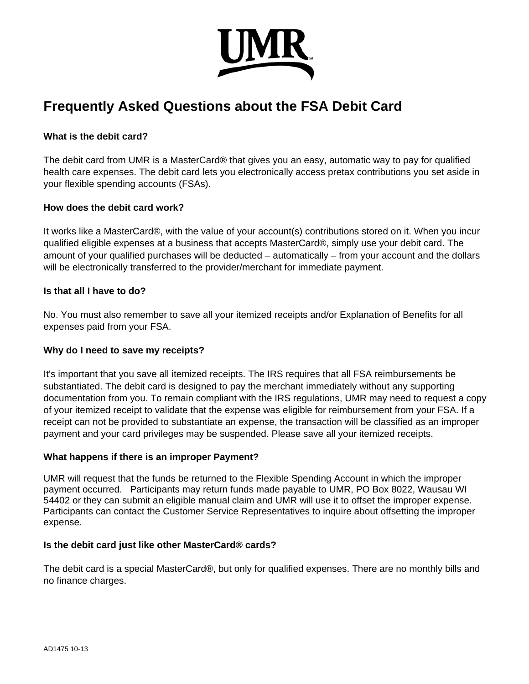

# **Frequently Asked Questions about the FSA Debit Card**

## **What is the debit card?**

The debit card from UMR is a MasterCard® that gives you an easy, automatic way to pay for qualified health care expenses. The debit card lets you electronically access pretax contributions you set aside in your flexible spending accounts (FSAs).

#### **How does the debit card work?**

It works like a MasterCard®, with the value of your account(s) contributions stored on it. When you incur qualified eligible expenses at a business that accepts MasterCard®, simply use your debit card. The amount of your qualified purchases will be deducted – automatically – from your account and the dollars will be electronically transferred to the provider/merchant for immediate payment.

#### **Is that all I have to do?**

No. You must also remember to save all your itemized receipts and/or Explanation of Benefits for all expenses paid from your FSA.

#### **Why do I need to save my receipts?**

It's important that you save all itemized receipts. The IRS requires that all FSA reimbursements be substantiated. The debit card is designed to pay the merchant immediately without any supporting documentation from you. To remain compliant with the IRS regulations, UMR may need to request a copy of your itemized receipt to validate that the expense was eligible for reimbursement from your FSA. If a receipt can not be provided to substantiate an expense, the transaction will be classified as an improper payment and your card privileges may be suspended. Please save all your itemized receipts.

# **What happens if there is an improper Payment?**

UMR will request that the funds be returned to the Flexible Spending Account in which the improper payment occurred. Participants may return funds made payable to UMR, PO Box 8022, Wausau WI 54402 or they can submit an eligible manual claim and UMR will use it to offset the improper expense. Participants can contact the Customer Service Representatives to inquire about offsetting the improper expense.

#### **Is the debit card just like other MasterCard® cards?**

The debit card is a special MasterCard®, but only for qualified expenses. There are no monthly bills and no finance charges.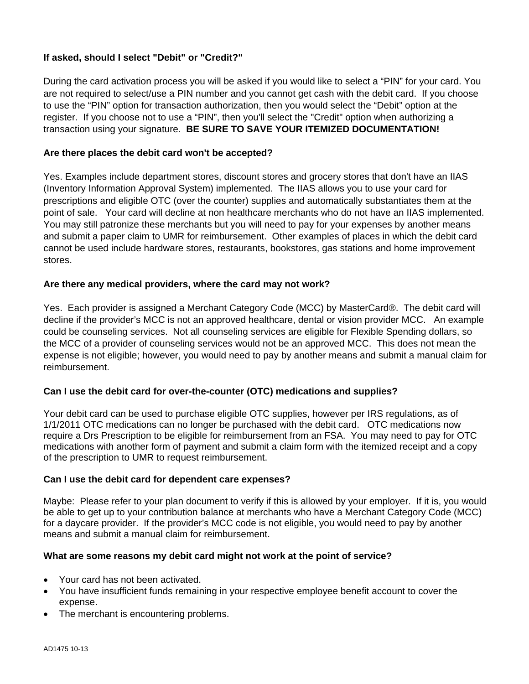# **If asked, should I select "Debit" or "Credit?"**

During the card activation process you will be asked if you would like to select a "PIN" for your card. You are not required to select/use a PIN number and you cannot get cash with the debit card. If you choose to use the "PIN" option for transaction authorization, then you would select the "Debit" option at the register. If you choose not to use a "PIN", then you'll select the "Credit" option when authorizing a transaction using your signature. **BE SURE TO SAVE YOUR ITEMIZED DOCUMENTATION!** 

## **Are there places the debit card won't be accepted?**

Yes. Examples include department stores, discount stores and grocery stores that don't have an IIAS (Inventory Information Approval System) implemented. The IIAS allows you to use your card for prescriptions and eligible OTC (over the counter) supplies and automatically substantiates them at the point of sale. Your card will decline at non healthcare merchants who do not have an IIAS implemented. You may still patronize these merchants but you will need to pay for your expenses by another means and submit a paper claim to UMR for reimbursement. Other examples of places in which the debit card cannot be used include hardware stores, restaurants, bookstores, gas stations and home improvement stores.

### **Are there any medical providers, where the card may not work?**

Yes. Each provider is assigned a Merchant Category Code (MCC) by MasterCard®. The debit card will decline if the provider's MCC is not an approved healthcare, dental or vision provider MCC. An example could be counseling services. Not all counseling services are eligible for Flexible Spending dollars, so the MCC of a provider of counseling services would not be an approved MCC. This does not mean the expense is not eligible; however, you would need to pay by another means and submit a manual claim for reimbursement.

# **Can I use the debit card for over-the-counter (OTC) medications and supplies?**

Your debit card can be used to purchase eligible OTC supplies, however per IRS regulations, as of 1/1/2011 OTC medications can no longer be purchased with the debit card. OTC medications now require a Drs Prescription to be eligible for reimbursement from an FSA. You may need to pay for OTC medications with another form of payment and submit a claim form with the itemized receipt and a copy of the prescription to UMR to request reimbursement.

#### **Can I use the debit card for dependent care expenses?**

Maybe: Please refer to your plan document to verify if this is allowed by your employer. If it is, you would be able to get up to your contribution balance at merchants who have a Merchant Category Code (MCC) for a daycare provider. If the provider's MCC code is not eligible, you would need to pay by another means and submit a manual claim for reimbursement.

#### **What are some reasons my debit card might not work at the point of service?**

- Your card has not been activated.
- You have insufficient funds remaining in your respective employee benefit account to cover the expense.
- The merchant is encountering problems.